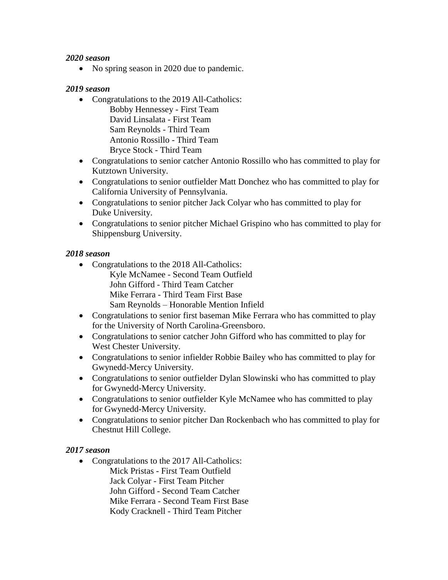• No spring season in 2020 due to pandemic.

#### *2019 season*

- Congratulations to the 2019 All-Catholics: Bobby Hennessey - First Team David Linsalata - First Team Sam Reynolds - Third Team Antonio Rossillo - Third Team Bryce Stock - Third Team
- Congratulations to senior catcher Antonio Rossillo who has committed to play for Kutztown University.
- Congratulations to senior outfielder Matt Donchez who has committed to play for California University of Pennsylvania.
- Congratulations to senior pitcher Jack Colyar who has committed to play for Duke University.
- Congratulations to senior pitcher Michael Grispino who has committed to play for Shippensburg University.

### *2018 season*

- Congratulations to the 2018 All-Catholics: Kyle McNamee - Second Team Outfield John Gifford - Third Team Catcher Mike Ferrara - Third Team First Base Sam Reynolds – Honorable Mention Infield
- Congratulations to senior first baseman Mike Ferrara who has committed to play for the University of North Carolina-Greensboro.
- Congratulations to senior catcher John Gifford who has committed to play for West Chester University.
- Congratulations to senior infielder Robbie Bailey who has committed to play for Gwynedd-Mercy University.
- Congratulations to senior outfielder Dylan Slowinski who has committed to play for Gwynedd-Mercy University.
- Congratulations to senior outfielder Kyle McNamee who has committed to play for Gwynedd-Mercy University.
- Congratulations to senior pitcher Dan Rockenbach who has committed to play for Chestnut Hill College.

#### *2017 season*

• Congratulations to the 2017 All-Catholics: Mick Pristas - First Team Outfield Jack Colyar - First Team Pitcher John Gifford - Second Team Catcher Mike Ferrara - Second Team First Base Kody Cracknell - Third Team Pitcher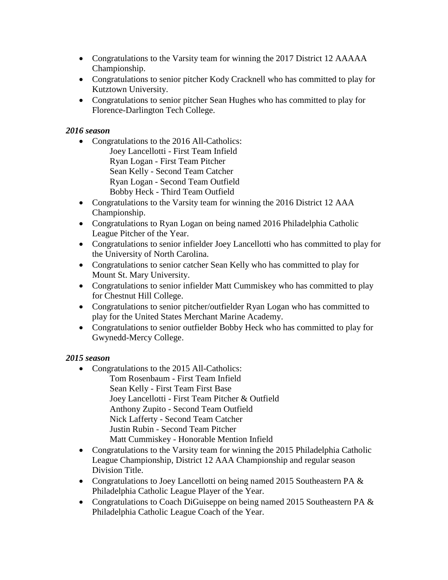- Congratulations to the Varsity team for winning the 2017 District 12 AAAAA Championship.
- Congratulations to senior pitcher Kody Cracknell who has committed to play for Kutztown University.
- Congratulations to senior pitcher Sean Hughes who has committed to play for Florence-Darlington Tech College.

- Congratulations to the 2016 All-Catholics: Joey Lancellotti - First Team Infield Ryan Logan - First Team Pitcher Sean Kelly - Second Team Catcher Ryan Logan - Second Team Outfield Bobby Heck - Third Team Outfield
- Congratulations to the Varsity team for winning the 2016 District 12 AAA Championship.
- Congratulations to Ryan Logan on being named 2016 Philadelphia Catholic League Pitcher of the Year.
- Congratulations to senior infielder Joey Lancellotti who has committed to play for the University of North Carolina.
- Congratulations to senior catcher Sean Kelly who has committed to play for Mount St. Mary University.
- Congratulations to senior infielder Matt Cummiskey who has committed to play for Chestnut Hill College.
- Congratulations to senior pitcher/outfielder Ryan Logan who has committed to play for the United States Merchant Marine Academy.
- Congratulations to senior outfielder Bobby Heck who has committed to play for Gwynedd-Mercy College.

- Congratulations to the 2015 All-Catholics: Tom Rosenbaum - First Team Infield Sean Kelly - First Team First Base Joey Lancellotti - First Team Pitcher & Outfield Anthony Zupito - Second Team Outfield Nick Lafferty - Second Team Catcher Justin Rubin - Second Team Pitcher Matt Cummiskey - Honorable Mention Infield
- Congratulations to the Varsity team for winning the 2015 Philadelphia Catholic League Championship, District 12 AAA Championship and regular season Division Title.
- Congratulations to Joey Lancellotti on being named 2015 Southeastern PA & Philadelphia Catholic League Player of the Year.
- Congratulations to Coach DiGuiseppe on being named 2015 Southeastern PA & Philadelphia Catholic League Coach of the Year.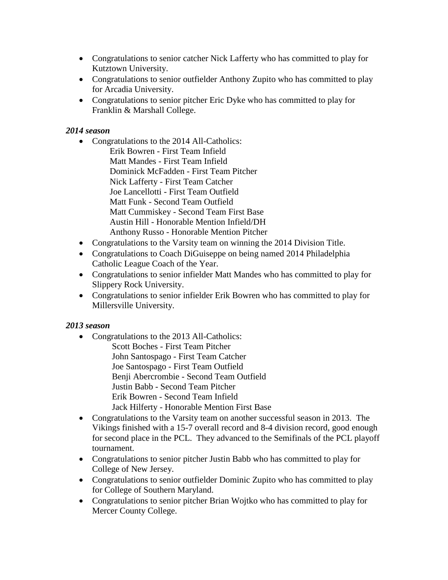- Congratulations to senior catcher Nick Lafferty who has committed to play for Kutztown University.
- Congratulations to senior outfielder Anthony Zupito who has committed to play for Arcadia University.
- Congratulations to senior pitcher Eric Dyke who has committed to play for Franklin & Marshall College.

- Congratulations to the 2014 All-Catholics: Erik Bowren - First Team Infield Matt Mandes - First Team Infield Dominick McFadden - First Team Pitcher Nick Lafferty - First Team Catcher Joe Lancellotti - First Team Outfield Matt Funk - Second Team Outfield Matt Cummiskey - Second Team First Base Austin Hill - Honorable Mention Infield/DH Anthony Russo - Honorable Mention Pitcher
- Congratulations to the Varsity team on winning the 2014 Division Title.
- Congratulations to Coach DiGuiseppe on being named 2014 Philadelphia Catholic League Coach of the Year.
- Congratulations to senior infielder Matt Mandes who has committed to play for Slippery Rock University.
- Congratulations to senior infielder Erik Bowren who has committed to play for Millersville University.

- Congratulations to the 2013 All-Catholics: Scott Boches - First Team Pitcher John Santospago - First Team Catcher Joe Santospago - First Team Outfield Benji Abercrombie - Second Team Outfield Justin Babb - Second Team Pitcher Erik Bowren - Second Team Infield Jack Hilferty - Honorable Mention First Base
- Congratulations to the Varsity team on another successful season in 2013. The Vikings finished with a 15-7 overall record and 8-4 division record, good enough for second place in the PCL. They advanced to the Semifinals of the PCL playoff tournament.
- Congratulations to senior pitcher Justin Babb who has committed to play for College of New Jersey.
- Congratulations to senior outfielder Dominic Zupito who has committed to play for College of Southern Maryland.
- Congratulations to senior pitcher Brian Wojtko who has committed to play for Mercer County College.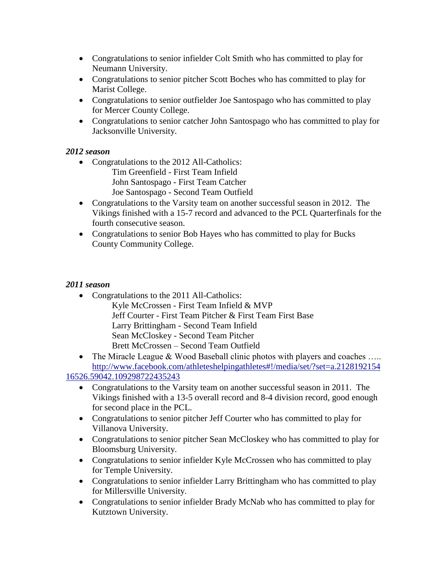- Congratulations to senior infielder Colt Smith who has committed to play for Neumann University.
- Congratulations to senior pitcher Scott Boches who has committed to play for Marist College.
- Congratulations to senior outfielder Joe Santospago who has committed to play for Mercer County College.
- Congratulations to senior catcher John Santospago who has committed to play for Jacksonville University.

- Congratulations to the 2012 All-Catholics: Tim Greenfield - First Team Infield John Santospago - First Team Catcher
	- Joe Santospago Second Team Outfield
- Congratulations to the Varsity team on another successful season in 2012. The Vikings finished with a 15-7 record and advanced to the PCL Quarterfinals for the fourth consecutive season.
- Congratulations to senior Bob Hayes who has committed to play for Bucks County Community College.

- Congratulations to the 2011 All-Catholics: Kyle McCrossen - First Team Infield & MVP Jeff Courter - First Team Pitcher & First Team First Base Larry Brittingham - Second Team Infield Sean McCloskey - Second Team Pitcher Brett McCrossen – Second Team Outfield
- The Miracle League & Wood Baseball clinic photos with players and coaches ..... [http://www.facebook.com/athleteshelpingathletes#!/media/set/?set=a.2128192154](http://www.facebook.com/athleteshelpingathletes#!/media/set/?set=a.212819215416526.59042.109298722435243) [16526.59042.109298722435243](http://www.facebook.com/athleteshelpingathletes#!/media/set/?set=a.212819215416526.59042.109298722435243)
	- Congratulations to the Varsity team on another successful season in 2011. The Vikings finished with a 13-5 overall record and 8-4 division record, good enough for second place in the PCL.
	- Congratulations to senior pitcher Jeff Courter who has committed to play for Villanova University.
	- Congratulations to senior pitcher Sean McCloskey who has committed to play for Bloomsburg University.
	- Congratulations to senior infielder Kyle McCrossen who has committed to play for Temple University.
	- Congratulations to senior infielder Larry Brittingham who has committed to play for Millersville University.
	- Congratulations to senior infielder Brady McNab who has committed to play for Kutztown University.